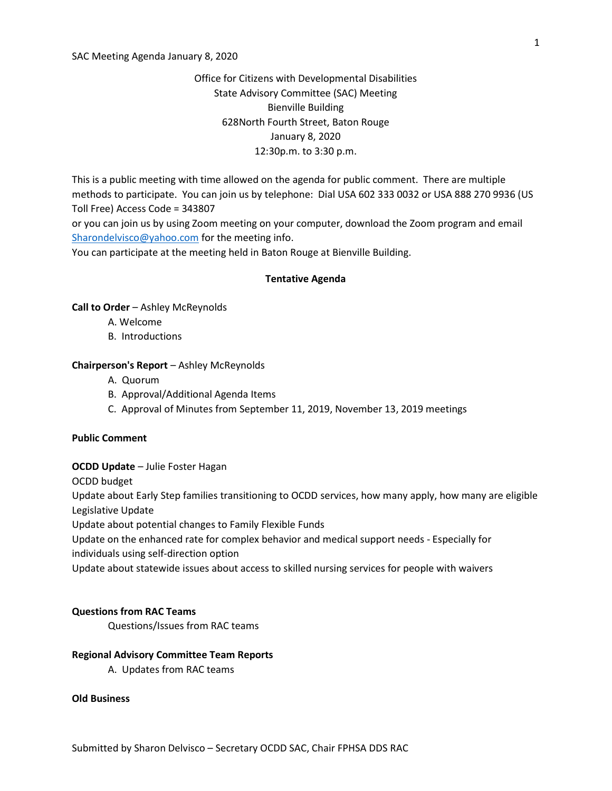#### SAC Meeting Agenda January 8, 2020

# Office for Citizens with Developmental Disabilities State Advisory Committee (SAC) Meeting Bienville Building 628North Fourth Street, Baton Rouge January 8, 2020 12:30p.m. to 3:30 p.m.

This is a public meeting with time allowed on the agenda for public comment. There are multiple methods to participate. You can join us by telephone: Dial USA 602 333 0032 or USA 888 270 9936 (US Toll Free) Access Code = 343807

or you can join us by using Zoom meeting on your computer, download the Zoom program and email Sharondelvisco@yahoo.com for the meeting info.

You can participate at the meeting held in Baton Rouge at Bienville Building.

#### Tentative Agenda

## Call to Order – Ashley McReynolds

- A. Welcome
- B. Introductions

#### Chairperson's Report – Ashley McReynolds

- A. Quorum
- B. Approval/Additional Agenda Items
- C. Approval of Minutes from September 11, 2019, November 13, 2019 meetings

#### Public Comment

## OCDD Update – Julie Foster Hagan

OCDD budget

Update about Early Step families transitioning to OCDD services, how many apply, how many are eligible Legislative Update

Update about potential changes to Family Flexible Funds

Update on the enhanced rate for complex behavior and medical support needs - Especially for individuals using self-direction option

Update about statewide issues about access to skilled nursing services for people with waivers

## Questions from RAC Teams

Questions/Issues from RAC teams

#### Regional Advisory Committee Team Reports

A. Updates from RAC teams

## Old Business